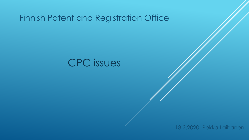## Finnish Patent and Registration Office

# CPC issues

18.2.2020 Pekka Laihanen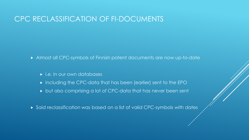### CPC RECLASSIFICATION OF FI-DOCUMENTS

Almost all CPC-symbols of Finnish patent documents are now up-to-date

- $\triangleright$  i.e. in our own databases
- including the CPC-data that has been (earlier) sent to the EPO
- but also comprising a lot of CPC-data that has never been sent
- Said reclassification was based on a list of valid CPC-symbols with dates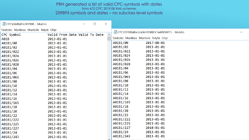#### PRH generated a list of valid CPC-symbols with dates from 672 CPC 2019.08 XML-schemes 259895 symbols and dates – no subclass level symbols

| $\times$<br>CPCValidityFile201908 - Muistio<br>$\Box$ |                                              |                                                |                  |  |
|-------------------------------------------------------|----------------------------------------------|------------------------------------------------|------------------|--|
| Tiedosto Muokkaa Muotoile Näytä Ohje                  |                                              |                                                |                  |  |
| CPC Symbol                                            | $\triangle$<br>Valid From Date Valid To Date | CPC201908allocatableSYMBOLSwithDATES - Muistio |                  |  |
| A01B                                                  | $2013 - 01 - 01$                             | Tiedosto Muokkaa Muotoile Näytä Ohje           |                  |  |
| A01B1/00                                              | $2013 - 01 - 01$                             | A01B1/00                                       | 2017-08-01       |  |
| A01B1/02                                              | $2013 - 01 - 01$                             | A01B1/02                                       | 2013-01-01       |  |
| A01B1/022                                             | 2013-01-01                                   | A01B1/022                                      | 2013-01-01       |  |
| A01B1/024                                             | $2013 - 01 - 01$                             | A01B1/024                                      | 2013-01-01       |  |
| A01B1/026                                             | $2013 - 01 - 01$                             | A01B1/026                                      | 2013-01-01       |  |
| A01B1/028                                             | $2013 - 01 - 01$                             | A01B1/028                                      | $2013 - 01 - 01$ |  |
| A01B1/04                                              | $2013 - 01 - 01$                             | A01B1/04                                       | 2013-01-01       |  |
| A01B1/06                                              | $2013 - 01 - 01$                             | A01B1/06                                       | 2013-01-01       |  |
| A01B1/065                                             | $2013 - 01 - 01$                             | A01B1/065                                      | 2013-01-01       |  |
| A01B1/08                                              | $2013 - 01 - 01$                             | A01B1/08                                       | 2013-01-01       |  |
| A01B1/10                                              | $2013 - 01 - 01$                             | A01B1/10                                       | 2013-01-01       |  |
| A01B1/12                                              | $2013 - 01 - 01$                             | A01B1/12                                       | 2013-01-01       |  |
| A01B1/14                                              | $2013 - 01 - 01$                             | A01B1/14                                       | 2013-01-01       |  |
| A01B1/16                                              | $2013 - 01 - 01$                             | A01B1/16                                       | 2013-01-01       |  |
| A01B1/165                                             | $2013 - 01 - 01$                             | A01B1/165                                      | $2013 - 01 - 01$ |  |
| A01B1/18                                              | $2013 - 01 - 01$                             | A01B1/18                                       | 2013-01-01       |  |
| A01B1/20                                              | $2013 - 01 - 01$                             | A01B1/20                                       | 2013-01-01       |  |
| A01B1/22                                              | 2013-01-01                                   | A01B1/22                                       | $2013 - 01 - 01$ |  |
| A01B1/222                                             | $2013 - 01 - 01$                             | A01B1/222                                      | 2013-01-01       |  |
| A01B1/225                                             | $2013 - 01 - 01$                             | A01B1/225                                      | 2013-01-01       |  |
| A01B1/227                                             | $2013 - 01 - 01$                             | A01B1/227                                      | $2018 - 01 - 01$ |  |
| A01B1/24                                              | $2013 - 01 - 01$                             | A01B1/24                                       | 2013-01-01       |  |
| A01B1/243                                             | $2013 - 01 - 01$<br>Automotive               | A01B1/243                                      | 2013-01-01       |  |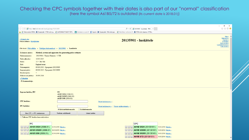#### Checking the CPC symbols together with their dates is also part of our "normal" classification (here the symbol A61B5/72 is outdated (its current date is 2018.01))

|                                                  |                                                                                                                                                                                                                   | $\Box$<br>$\times$<br>$\overline{\phantom{0}}$                                               |
|--------------------------------------------------|-------------------------------------------------------------------------------------------------------------------------------------------------------------------------------------------------------------------|----------------------------------------------------------------------------------------------|
| ⇔<br>$\Leftrightarrow$                           | http://desk/ed/national/classify.jsp?app=FI20135901<br>$\mathcal{P} \times \mathcal{C}$ 20135901 - Iuokittele - PRH $\times$                                                                                      | 分众寒。                                                                                         |
|                                                  | ☆ ② Welcome to MPEG ※ Työpöydät - PTM-wikin p ② AUTOMAATTISESTI TÄYT D Endotetut sivustot ▼ Sign in ※ Työpöydät - PAI-wikin pā ③ Web Slice -valikoima ▼ ※ PTM-wikin etusivu - PTM                                 |                                                                                              |
|                                                  |                                                                                                                                                                                                                   | Ohje » $\wedge$                                                                              |
| « Kirjaudu ulos<br>Pekka Laihanen Käyttäjätiedot | 20135901 - luokittele                                                                                                                                                                                             | Hak.tiedot »<br>Soprano »<br><b>Asiakirjat</b> »<br>Sähk.asiointi »<br>Luokittelu historia » |
|                                                  | Olet tässä: Päävalikko » Tutkijan hakemukset » 20135901 » Luokittele                                                                                                                                              | Tutk.seloste »                                                                               |
| Keksinnön nimitys:                               | Method, system and apparatus for generating pulse estimate                                                                                                                                                        |                                                                                              |
| Hakemusnumero:                                   | 20135901 / Tuomo Reiniaho / 3 TIR                                                                                                                                                                                 |                                                                                              |
| Tullut julkiseksi:                               | 10.03.2015                                                                                                                                                                                                        |                                                                                              |
| Status:                                          | $11 - Jäts 4kk$                                                                                                                                                                                                   |                                                                                              |
| Kieli:                                           | Englanti/suomi<br>09.09.2013 / Epoquenet 20130909                                                                                                                                                                 |                                                                                              |
| Tekemispäivä:<br>Saapumispäivä:                  | 09.09.2013 / Epoquenet 20130909                                                                                                                                                                                   |                                                                                              |
| Etuoikeuspvm.:                                   | $\overline{\phantom{0}}$                                                                                                                                                                                          |                                                                                              |
| Maksuvuosi päättyy: 30.09.2016                   |                                                                                                                                                                                                                   |                                                                                              |
| «Takaisin                                        |                                                                                                                                                                                                                   |                                                                                              |
| - Ei kommentteja -                               |                                                                                                                                                                                                                   |                                                                                              |
|                                                  |                                                                                                                                                                                                                   |                                                                                              |
| Soprano luokka, IPC                              | $_{\rm IPC}$<br>A61B 5/024 (2006.01)<br>A61B 5/0205 (2006.01)<br>A61B 5/00 (2006.01)                                                                                                                              |                                                                                              |
| <b>CPC</b> luokitus:                             | Näytä luokitussivu »                                                                                                                                                                                              |                                                                                              |
| <b>IPC</b> luokitus:                             |                                                                                                                                                                                                                   |                                                                                              |
|                                                  | Näytä luokitussivu »   Näytä validiteettitaulu »<br><b>Keksintöinformaatio</b><br><b>OLisäinformaatio</b>                                                                                                         |                                                                                              |
|                                                  | Hae CPC -> IPC vastaavuus<br>Tarkista validiteetti<br>Lisää luokka                                                                                                                                                |                                                                                              |
|                                                  | Tallenna CPC luokka ilman tarkistuksia                                                                                                                                                                            |                                                                                              |
|                                                  |                                                                                                                                                                                                                   |                                                                                              |
| <b>IPC</b>                                       | CPC                                                                                                                                                                                                               |                                                                                              |
| $\mathbf{x}$ $\mathbf{1}$                        | $\begin{array}{ c c c c c }\hline \textbf{X} & \textbf{1} & \textbf{1} & \textbf{A61B} & \textbf{5/024} & \textbf{(20130101)} \hline \end{array}$<br>AB5/024(2006.01)<br>02.10.2019 Näytä »<br>14.05.2014 Näytä » |                                                                                              |
| $\mathbf{X}$ $\mathbf{A}$                        | A61B 5/0205 (2006.01) 02.10.2019 Näytä »<br>$x \uparrow \bot$ <b>A61B 5/0006</b> (20130101)<br>14.05.2014 Näytä »                                                                                                 |                                                                                              |
|                                                  |                                                                                                                                                                                                                   |                                                                                              |
| $\mathbf{X}$                                     | A61B 5/00 (2006.01)<br>$\ x\ $   $\ $   <b>A61B 5/0205</b> (20130101)<br>02.10.2019 Näytä »<br>14.05.2014 Näytä »                                                                                                 |                                                                                              |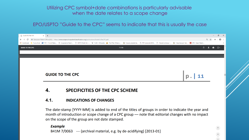### Utilizing CPC symbol+date combinations is particularly advisable when the date relates to a scope change

EPO/USPTO "Guide to the CPC" seems to indicate that this is usually the case

| <b>FIGUIDE TO THE CPC</b> | $\times$ +                                                                                                                                                                                              |                                                                                                                                                                                                                                                                                                                          |     |  | 门      | $\mathsf{X}$          |  |  |
|---------------------------|---------------------------------------------------------------------------------------------------------------------------------------------------------------------------------------------------------|--------------------------------------------------------------------------------------------------------------------------------------------------------------------------------------------------------------------------------------------------------------------------------------------------------------------------|-----|--|--------|-----------------------|--|--|
| C                         |                                                                                                                                                                                                         | European Patent Office [DE] https://www.cooperativepatentclassification.org/publications/GuideToTheCPC.pdf<br>::: Sovellukset Na Tuotu IEstä   RH - Finnish Paten   P Cooperative Patent   P USPTO Public Pair - W H.263 - Wikipedia A The IPKat: Where c △ Kirjaudu järjestelmä   PRH työpöytä (DEM   P Ylläpidä työlis | ⊙ ☆ |  | G٥     | $\boldsymbol{\Theta}$ |  |  |
| <b>GUIDE TO THE CPC</b>   |                                                                                                                                                                                                         | 11/35                                                                                                                                                                                                                                                                                                                    |     |  | $\Box$ |                       |  |  |
|                           |                                                                                                                                                                                                         |                                                                                                                                                                                                                                                                                                                          |     |  |        |                       |  |  |
|                           |                                                                                                                                                                                                         |                                                                                                                                                                                                                                                                                                                          |     |  |        |                       |  |  |
|                           |                                                                                                                                                                                                         |                                                                                                                                                                                                                                                                                                                          |     |  |        |                       |  |  |
|                           |                                                                                                                                                                                                         |                                                                                                                                                                                                                                                                                                                          |     |  |        |                       |  |  |
|                           | <b>GUIDE TO THE CPC</b>                                                                                                                                                                                 |                                                                                                                                                                                                                                                                                                                          |     |  |        |                       |  |  |
|                           |                                                                                                                                                                                                         |                                                                                                                                                                                                                                                                                                                          |     |  |        |                       |  |  |
|                           | 4.                                                                                                                                                                                                      | <b>SPECIFICITIES OF THE CPC SCHEME</b>                                                                                                                                                                                                                                                                                   |     |  |        |                       |  |  |
|                           |                                                                                                                                                                                                         |                                                                                                                                                                                                                                                                                                                          |     |  |        |                       |  |  |
|                           | 4.1.                                                                                                                                                                                                    | <b>INDICATIONS OF CHANGES</b>                                                                                                                                                                                                                                                                                            |     |  |        |                       |  |  |
|                           | The date-stamp [YYYY-MM] is added to end of the titles of groups in order to indicate the year and<br>month of introduction or scope change of a CPC group - note that editorial changes with no impact |                                                                                                                                                                                                                                                                                                                          |     |  |        |                       |  |  |

**Example** B41M 7/0063 --- {archival material, e.g. by de-acidifying} [2013-01]

on the scope of the group are not date stamped.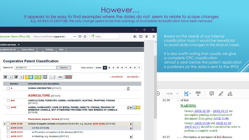$\rm{However.}.$ it appears to be easy to find examples where the dates do not seem to relate to scope changes e.g. A01K61/10 [2019-08]; the only change seems to be that warnings of incomplete reclassification have been removed

|                                                            |                                                                                                                                                             |                       | O<br>$\times$       |           |                                                                                                                                                                               |
|------------------------------------------------------------|-------------------------------------------------------------------------------------------------------------------------------------------------------------|-----------------------|---------------------|-----------|-------------------------------------------------------------------------------------------------------------------------------------------------------------------------------|
| European Patent Office (DE) $\parallel$                    | $C_{\epsilon}^{\bullet}$ Haku<br>$\cdots$ $\odot$<br>https://worldwide.espacenet.co<br>☆                                                                    |                       | $\equiv$<br>$\odot$ |           | Based on the needs of our internal<br>classification tools it would be beneficial                                                                                             |
| online services $\blacktriangledown$                       |                                                                                                                                                             |                       |                     | $\land$   | to avoid date changes in this kind of cases.                                                                                                                                  |
| y patents list (0)                                         | Help<br>Query history<br><b>Settings</b><br><b>Cooperative Patent Classification</b>                                                                        |                       |                     |           | It is also worth noting that usually we give<br>a complete CPC-classification<br>almost a year before the patent application<br>is published (or the data is sent to the EPO) |
| A01K61/10<br>Search for<br>$\blacksquare$<br><b>Symbol</b> | View section $findex A B C D E$<br><b>Search</b><br>« A01K59/00<br><b>Classification and description</b>                                                    | G H Y<br>A01K63/00 »  |                     |           |                                                                                                                                                                               |
|                                                            | <b>HUMAN NECESSITIES [2013-01]</b>                                                                                                                          | $\mathbf{s}$          |                     |           |                                                                                                                                                                               |
|                                                            | AGRICULTURE [2013-01]                                                                                                                                       |                       |                     | $\ket{+}$ | ⊞<br>巨<br>运<br>67.<br>107%                                                                                                                                                    |
| A01                                                        | AGRICULTURE; FORESTRY; ANIMAL HUSBANDRY; HUNTING; TRAPPING; FISHING<br>$[2013-01]$                                                                          |                       |                     |           | . of fish<br>61/10                                                                                                                                                            |
| <b>A01K</b>                                                | ANIMAL HUSBANDRY; CARE OF BIRDS, FISHES, INSECTS; FISHING; REARING OR<br>BREEDING ANIMALS, NOT OTHERWISE PROVIDED FOR; NEW BREEDS OF ANIMALS<br>$[2018-08]$ | $s$ D i $\rightarrow$ |                     |           | <b>WARNING</b><br>Groups $A01K 61/10 - A01K 61/13$ are                                                                                                                        |
|                                                            | Pisciculture; Aquaria; Terraria [2013-01]                                                                                                                   |                       |                     |           | incomplete pending reclassification of<br>documents from group $\underline{A01K}$ 61/00.                                                                                      |
| A01K 61/00                                                 | Culture of aquatic animals (receptacles for live fish, e.g. aquaria, A01K 63/00) [2019-08]                                                                  | $\overline{D}$        |                     |           | Groups $A01K$ 61/00 and $A01K$ 61/10 –                                                                                                                                        |
| A01K 61/10                                                 | • of fish [2019-08]                                                                                                                                         | $\mathbf{D}$          |                     |           | A01K 61/13 should be considered in order to                                                                                                                                   |
| A01K 61/13                                                 | • • Prevention or treatment of fish diseases [2017-01]                                                                                                      |                       |                     |           | perform a complete search.                                                                                                                                                    |
| A01K 61/17                                                 | • Hatching, e.g. incubators [2017-01]                                                                                                                       | D                     |                     |           | Prevention or treatment of fish diseases<br>61/13                                                                                                                             |

|<br>|}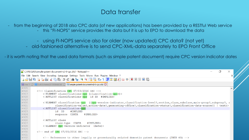### Data transfer

- from the beginning of 2018 also CPC data (of new applications) has been provided by a RESTful Web service

- this "FI-NOPS" service provides the data but it is up to EPO to download the data
- using FI-NOPS service also for older (now updated) CPC data? (not yet)
- old-fashioned alternative is to send CPC-XML-data separately to EPO Front Office

- it is worth noting that the used data formats (such as simple patent document) require CPC version indicator dates

|      | EZ C:\PJL\QAS\simple-patent-document-v2-0-cpc.dtd - Notepad++<br>门                                                                           | $\times$ |
|------|----------------------------------------------------------------------------------------------------------------------------------------------|----------|
|      | File Edit Search View Encoding Language Settings Tools Macro Run Plugins Window ?                                                            | X        |
|      | B 2 2 2 4 3 4 4 4 6 7 4 6 7 4 7 4 8 4 5 7 F 7 8 8 8 8 9 0 0 0 0 0 0 8                                                                        |          |
|      | Finew 1 M BulkScheme201908ntxt.txt M Simple-patent-document-v2-0-cpc.dtd M                                                                   |          |
| 4915 |                                                                                                                                              |          |
| 4916 | $\langle$ !-- Classification CPC 07/03/2016 SRC -->                                                                                          |          |
| 4917 | ELEMENT classifications-cpc (classification-cpc+)                                                                                            |          |
| 4918 | ATTLIST classifications-cpc id ID #IMPLIED                                                                                                   |          |
| 4919 |                                                                                                                                              |          |
| 4920 | ELEMENT classification-cpc ((cpc-version-indicator, classification-level?, section, class, subclass, main-group?, subgroup?, s</td <td></td> |          |
| 4921 | classification-value?, action-date?, generating-office?, classification-status?, classification-data-source?)   text)>                       |          |
| 4922 | ATTLIST classification-cpc</td <td></td>                                                                                                     |          |
| 4923 | ID<br>#IMPLIED<br>id                                                                                                                         |          |
| 4924 | #IMPLIED><br>CDATA<br>sequence                                                                                                               |          |
| 4925 |                                                                                                                                              |          |
| 4926 | ATTLIST class</td <td></td>                                                                                                                  |          |
| 4927 | class-type CDATA<br>#IMPLIED>                                                                                                                |          |
| 4928 | ELEMENT cpc-version-indicator (date)                                                                                                         |          |
| 4929 |                                                                                                                                              |          |
| 4930 | $\langle$ !-- end of CPC 07/03/2016 SRC -->                                                                                                  |          |
| 4931 |                                                                                                                                              |          |
| 4932 | References to other legally or procedurally related domestic patent documents (INID 60)                                                      |          |